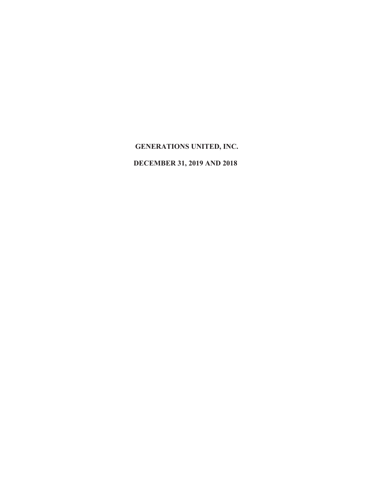### **GENERATIONS UNITED, INC.**

### **DECEMBER 31, 2019 AND 2018**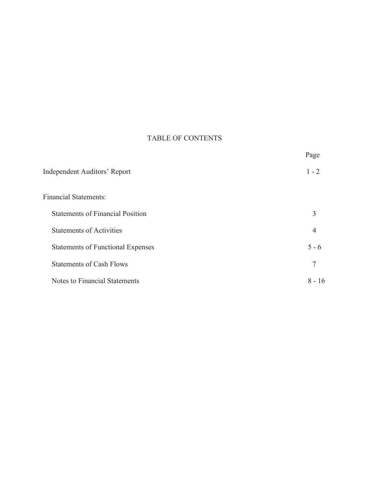### TABLE OF CONTENTS

|                                          | Page     |
|------------------------------------------|----------|
| <b>Independent Auditors' Report</b>      | $1 - 2$  |
| <b>Financial Statements:</b>             |          |
| <b>Statements of Financial Position</b>  | 3        |
| <b>Statements of Activities</b>          | 4        |
| <b>Statements of Functional Expenses</b> | $5 - 6$  |
| <b>Statements of Cash Flows</b>          | 7        |
| Notes to Financial Statements            | $8 - 16$ |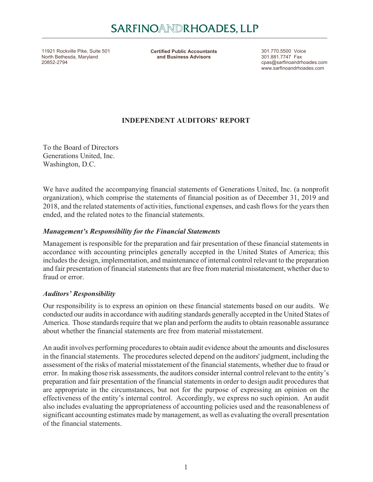11921 Rockville Pike, Suite 501 **301.770.5500** Voice<br> **11921 Rockville Pike, Suite 501** 301.881.7747 Fax **301.881.7747** Fax North Bethesda, Maryland 20852-2794 cpas@sarfinoandrhoades.com

**Certified Public Accountants** and Business Advisors

www.sarfinoandrhoades.com

### **INDEPENDENT AUDITORS' REPORT**

To the Board of Directors Generations United, Inc. Washington, D.C.

We have audited the accompanying financial statements of Generations United, Inc. (a nonprofit organization), which comprise the statements of financial position as of December 31, 2019 and 2018, and the related statements of activities, functional expenses, and cash flows for the years then ended, and the related notes to the financial statements.

### *Management's Responsibility for the Financial Statements*

Management is responsible for the preparation and fair presentation of these financial statements in accordance with accounting principles generally accepted in the United States of America; this includes the design, implementation, and maintenance of internal control relevant to the preparation and fair presentation of financial statements that are free from material misstatement, whether due to fraud or error.

### *Auditors' Responsibility*

Our responsibility is to express an opinion on these financial statements based on our audits. We conducted our audits in accordance with auditing standards generally accepted in the United States of America. Those standards require that we plan and perform the audits to obtain reasonable assurance about whether the financial statements are free from material misstatement.

An audit involves performing procedures to obtain audit evidence about the amounts and disclosures in the financial statements. The procedures selected depend on the auditors' judgment, including the assessment of the risks of material misstatement of the financial statements, whether due to fraud or error. In making those risk assessments, the auditors consider internal control relevant to the entity's preparation and fair presentation of the financial statements in order to design audit procedures that are appropriate in the circumstances, but not for the purpose of expressing an opinion on the effectiveness of the entity's internal control. Accordingly, we express no such opinion. An audit also includes evaluating the appropriateness of accounting policies used and the reasonableness of significant accounting estimates made by management, as well as evaluating the overall presentation of the financial statements.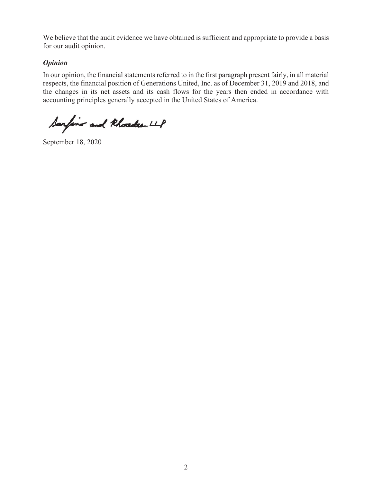We believe that the audit evidence we have obtained is sufficient and appropriate to provide a basis for our audit opinion.

### *Opinion*

In our opinion, the financial statements referred to in the first paragraph present fairly, in all material respects, the financial position of Generations United, Inc. as of December 31, 2019 and 2018, and the changes in its net assets and its cash flows for the years then ended in accordance with accounting principles generally accepted in the United States of America.

Sarfins and Rhoader LLP

September 18, 2020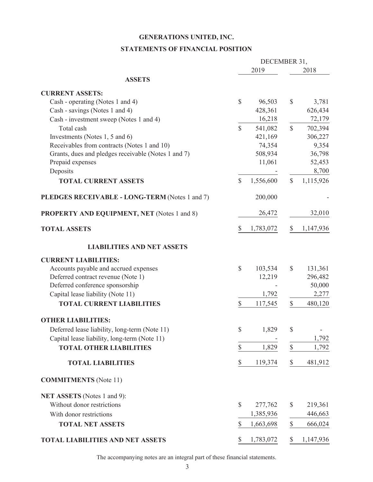### **GENERATIONS UNITED, INC.**

#### **STATEMENTS OF FINANCIAL POSITION**

|                                                     | DECEMBER 31,                      |           |                                                                       |           |  |
|-----------------------------------------------------|-----------------------------------|-----------|-----------------------------------------------------------------------|-----------|--|
|                                                     |                                   | 2019      |                                                                       | 2018      |  |
| <b>ASSETS</b>                                       |                                   |           |                                                                       |           |  |
| <b>CURRENT ASSETS:</b>                              |                                   |           |                                                                       |           |  |
| Cash - operating (Notes 1 and 4)                    | $\mathbb{S}$                      | 96,503    | $\mathcal{S}$                                                         | 3,781     |  |
| Cash - savings (Notes 1 and 4)                      |                                   | 428,361   |                                                                       | 626,434   |  |
| Cash - investment sweep (Notes 1 and 4)             |                                   | 16,218    |                                                                       | 72,179    |  |
| Total cash                                          | $\mathbb{S}$                      | 541,082   | $\mathbb{S}$                                                          | 702,394   |  |
| Investments (Notes 1, 5 and 6)                      |                                   | 421,169   |                                                                       | 306,227   |  |
| Receivables from contracts (Notes 1 and 10)         |                                   | 74,354    |                                                                       | 9,354     |  |
| Grants, dues and pledges receivable (Notes 1 and 7) |                                   | 508,934   |                                                                       | 36,798    |  |
| Prepaid expenses                                    |                                   | 11,061    |                                                                       | 52,453    |  |
| Deposits                                            |                                   |           |                                                                       | 8,700     |  |
| <b>TOTAL CURRENT ASSETS</b>                         | $\mathbb{S}$                      | 1,556,600 | $\mathcal{S}$                                                         | 1,115,926 |  |
| PLEDGES RECEIVABLE - LONG-TERM (Notes 1 and 7)      |                                   | 200,000   |                                                                       |           |  |
| PROPERTY AND EQUIPMENT, NET (Notes 1 and 8)         |                                   | 26,472    |                                                                       | 32,010    |  |
| <b>TOTAL ASSETS</b>                                 | \$                                | 1,783,072 | \$                                                                    | 1,147,936 |  |
| <b>LIABILITIES AND NET ASSETS</b>                   |                                   |           |                                                                       |           |  |
| <b>CURRENT LIABILITIES:</b>                         |                                   |           |                                                                       |           |  |
| Accounts payable and accrued expenses               | $\mathbb{S}$                      | 103,534   | \$                                                                    | 131,361   |  |
| Deferred contract revenue (Note 1)                  |                                   | 12,219    |                                                                       | 296,482   |  |
| Deferred conference sponsorship                     |                                   |           |                                                                       | 50,000    |  |
| Capital lease liability (Note 11)                   |                                   | 1,792     |                                                                       | 2,277     |  |
| <b>TOTAL CURRENT LIABILITIES</b>                    | $\$$                              | 117,545   | \$                                                                    | 480,120   |  |
| <b>OTHER LIABILITIES:</b>                           |                                   |           |                                                                       |           |  |
| Deferred lease liability, long-term (Note 11)       | \$                                | 1,829     | \$                                                                    |           |  |
| Capital lease liability, long-term (Note 11)        |                                   |           |                                                                       | 1,792     |  |
| <b>TOTAL OTHER LIABILITIES</b>                      | $\$$                              | 1,829     | $\mathbb S$                                                           | 1,792     |  |
| <b>TOTAL LIABILITIES</b>                            | $\mathbb{S}% _{t}\left( t\right)$ | 119,374   | \$                                                                    | 481,912   |  |
| <b>COMMITMENTS</b> (Note 11)                        |                                   |           |                                                                       |           |  |
| NET ASSETS (Notes 1 and 9):                         |                                   |           |                                                                       |           |  |
| Without donor restrictions                          | $\$$                              | 277,762   | \$                                                                    | 219,361   |  |
| With donor restrictions                             |                                   | 1,385,936 |                                                                       | 446,663   |  |
| <b>TOTAL NET ASSETS</b>                             | \$                                | 1,663,698 | $\mathbb{S}% _{t}\left( t\right) \equiv\mathbb{S}_{t}\left( t\right)$ | 666,024   |  |
| <b>TOTAL LIABILITIES AND NET ASSETS</b>             | \$                                | 1,783,072 | \$                                                                    | 1,147,936 |  |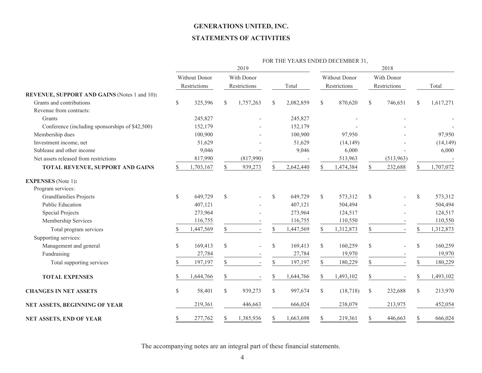### **GENERATIONS UNITED, INC.**

#### **STATEMENTS OF ACTIVITIES**

|                                                 |    |               |              |              |               |           |              | FOR THE YEARS ENDED DECEMBER 31, |    |                          |    |           |
|-------------------------------------------------|----|---------------|--------------|--------------|---------------|-----------|--------------|----------------------------------|----|--------------------------|----|-----------|
|                                                 |    |               | 2019         |              |               |           | 2018         |                                  |    |                          |    |           |
|                                                 |    | Without Donor |              | With Donor   |               |           |              | <b>Without Donor</b>             |    | With Donor               |    |           |
|                                                 |    | Restrictions  |              | Restrictions |               | Total     |              | Restrictions                     |    | Restrictions             |    | Total     |
| REVENUE, SUPPORT AND GAINS (Notes 1 and 10):    |    |               |              |              |               |           |              |                                  |    |                          |    |           |
| Grants and contributions                        | \$ | 325,596       | S.           | 1,757,263    | $\mathbb{S}$  | 2,082,859 | \$           | 870,620                          | \$ | 746,651                  | \$ | 1,617,271 |
| Revenue from contracts:                         |    |               |              |              |               |           |              |                                  |    |                          |    |           |
| Grants                                          |    | 245,827       |              |              |               | 245,827   |              |                                  |    |                          |    |           |
| Conference (including sponsorships of \$42,500) |    | 152,179       |              |              |               | 152,179   |              |                                  |    |                          |    |           |
| Membership dues                                 |    | 100,900       |              |              |               | 100,900   |              | 97,950                           |    |                          |    | 97,950    |
| Investment income, net                          |    | 51,629        |              |              |               | 51,629    |              | (14, 149)                        |    |                          |    | (14, 149) |
| Sublease and other income                       |    | 9,046         |              |              |               | 9,046     |              | 6,000                            |    |                          |    | 6,000     |
| Net assets released from restrictions           |    | 817,990       |              | (817,990)    |               |           |              | 513,963                          |    | (513,963)                |    |           |
| TOTAL REVENUE, SUPPORT AND GAINS                | \$ | 1,703,167     | S.           | 939,273      | \$            | 2,642,440 |              | 1,474,384                        | \$ | 232,688                  | \$ | 1,707,072 |
| <b>EXPENSES</b> (Note 1):                       |    |               |              |              |               |           |              |                                  |    |                          |    |           |
| Program services:                               |    |               |              |              |               |           |              |                                  |    |                          |    |           |
| <b>Grandfamilies Projects</b>                   | \$ | 649,729       | $\mathbb{S}$ |              | $\mathcal{S}$ | 649,729   | \$           | 573,312                          | \$ |                          | \$ | 573,312   |
| Public Education                                |    | 407,121       |              |              |               | 407,121   |              | 504,494                          |    |                          |    | 504,494   |
| <b>Special Projects</b>                         |    | 273,964       |              |              |               | 273,964   |              | 124,517                          |    |                          |    | 124,517   |
| Membership Services                             |    | 116,755       |              |              |               | 116,755   |              | 110,550                          |    |                          |    | 110,550   |
| Total program services                          | S  | 1,447,569     | $\mathbb{S}$ |              | $\mathbb{S}$  | 1,447,569 | $\mathbb{S}$ | 1,312,873                        | \$ | $\overline{\phantom{a}}$ | \$ | 1,312,873 |
| Supporting services:                            |    |               |              |              |               |           |              |                                  |    |                          |    |           |
| Management and general                          | \$ | 169,413       | \$           |              | $\mathcal{S}$ | 169,413   | \$           | 160,259                          | \$ |                          | \$ | 160,259   |
| Fundraising                                     |    | 27,784        |              |              |               | 27,784    |              | 19,970                           |    |                          |    | 19,970    |
| Total supporting services                       | \$ | 197,197       | \$           |              | \$            | 197,197   | $\mathbb{S}$ | 180,229                          | \$ |                          | \$ | 180,229   |
| <b>TOTAL EXPENSES</b>                           | \$ | 1,644,766     | \$           |              | \$            | 1,644,766 | $\mathbb{S}$ | 1,493,102                        | \$ |                          | \$ | 1,493,102 |
| <b>CHANGES IN NET ASSETS</b>                    | \$ | 58,401        | S            | 939,273      | $\mathcal{S}$ | 997,674   | \$           | (18, 718)                        | \$ | 232,688                  | \$ | 213,970   |
| NET ASSETS, BEGINNING OF YEAR                   |    | 219,361       |              | 446,663      |               | 666,024   |              | 238,079                          |    | 213,975                  |    | 452,054   |
| NET ASSETS, END OF YEAR                         | \$ | 277,762       |              | 1,385,936    | \$            | 1,663,698 | S            | 219,361                          | \$ | 446,663                  | S  | 666,024   |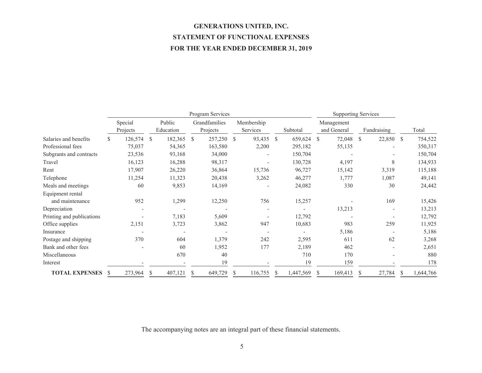### **GENERATIONS UNITED, INC. STATEMENT OF FUNCTIONAL EXPENSES FOR THE YEAR ENDED DECEMBER 31, 2019**

|                           | Program Services |                     |              |                     |              |                           |               | <b>Supporting Services</b> |              |                          |   |                           |              |                          |           |
|---------------------------|------------------|---------------------|--------------|---------------------|--------------|---------------------------|---------------|----------------------------|--------------|--------------------------|---|---------------------------|--------------|--------------------------|-----------|
|                           |                  | Special<br>Projects |              | Public<br>Education |              | Grandfamilies<br>Projects |               | Membership<br>Services     |              | Subtotal                 |   | Management<br>and General |              | Fundraising              | Total     |
| Salaries and benefits     | S.               | 126,574             | <sup>S</sup> | 182,365             | <sup>S</sup> | 257,250                   | <sup>\$</sup> | 93,435                     | <sup>S</sup> | 659,624                  | S | 72,048                    | <sup>S</sup> | 22,850 \$                | 754,522   |
| Professional fees         |                  | 75,037              |              | 54,365              |              | 163,580                   |               | 2,200                      |              | 295,182                  |   | 55,135                    |              | $\overline{\phantom{a}}$ | 350,317   |
| Subgrants and contracts   |                  | 23,536              |              | 93,168              |              | 34,000                    |               |                            |              | 150,704                  |   |                           |              |                          | 150,704   |
| Travel                    |                  | 16,123              |              | 16,288              |              | 98,317                    |               |                            |              | 130,728                  |   | 4,197                     |              | 8                        | 134,933   |
| Rent                      |                  | 17,907              |              | 26,220              |              | 36,864                    |               | 15,736                     |              | 96,727                   |   | 15,142                    |              | 3,319                    | 115,188   |
| Telephone                 |                  | 11,254              |              | 11,323              |              | 20,438                    |               | 3,262                      |              | 46,277                   |   | 1,777                     |              | 1,087                    | 49,141    |
| Meals and meetings        |                  | 60                  |              | 9,853               |              | 14,169                    |               |                            |              | 24,082                   |   | 330                       |              | 30                       | 24,442    |
| Equipment rental          |                  |                     |              |                     |              |                           |               |                            |              |                          |   |                           |              |                          |           |
| and maintenance           |                  | 952                 |              | 1,299               |              | 12,250                    |               | 756                        |              | 15,257                   |   |                           |              | 169                      | 15,426    |
| Depreciation              |                  |                     |              |                     |              |                           |               |                            |              |                          |   | 13,213                    |              |                          | 13,213    |
| Printing and publications |                  |                     |              | 7,183               |              | 5,609                     |               |                            |              | 12,792                   |   |                           |              |                          | 12,792    |
| Office supplies           |                  | 2,151               |              | 3,723               |              | 3,862                     |               | 947                        |              | 10,683                   |   | 983                       |              | 259                      | 11,925    |
| Insurance                 |                  |                     |              |                     |              |                           |               |                            |              | $\overline{\phantom{0}}$ |   | 5,186                     |              |                          | 5,186     |
| Postage and shipping      |                  | 370                 |              | 604                 |              | 1,379                     |               | 242                        |              | 2,595                    |   | 611                       |              | 62                       | 3,268     |
| Bank and other fees       |                  |                     |              | 60                  |              | 1,952                     |               | 177                        |              | 2,189                    |   | 462                       |              | $\overline{\phantom{a}}$ | 2,651     |
| Miscellaneous             |                  |                     |              | 670                 |              | 40                        |               |                            |              | 710                      |   | 170                       |              | $\overline{\phantom{a}}$ | 880       |
| Interest                  |                  |                     |              |                     |              | 19                        |               |                            |              | 19                       |   | 159                       |              |                          | 178       |
| <b>TOTAL EXPENSES</b>     | <sup>\$</sup>    | 273,964             | S            | 407,121             |              | 649,729                   | S             | 116,755                    | S            | 1,447,569                |   | 169,413                   | S.           | 27,784                   | 1,644,766 |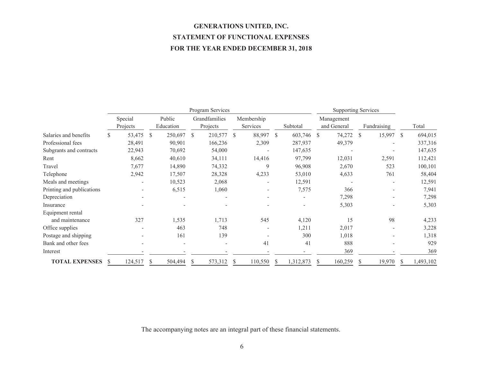### **GENERATIONS UNITED, INC. STATEMENT OF FUNCTIONAL EXPENSES FOR THE YEAR ENDED DECEMBER 31, 2018**

|                           | Program Services |          |              |                          |               | <b>Supporting Services</b> |              |                          |              |           |   |             |    |                          |           |
|---------------------------|------------------|----------|--------------|--------------------------|---------------|----------------------------|--------------|--------------------------|--------------|-----------|---|-------------|----|--------------------------|-----------|
|                           |                  | Special  |              | Public                   |               | Grandfamilies              |              | Membership               |              |           |   | Management  |    |                          |           |
|                           |                  | Projects |              | Education                |               | Projects                   |              | Services                 |              | Subtotal  |   | and General |    | Fundraising              | Total     |
| Salaries and benefits     | S                | 53,475   | <sup>S</sup> | 250,697                  | <sup>\$</sup> | 210,577                    | <sup>S</sup> | 88,997                   | <sup>S</sup> | 603,746   | S | 74,272      | S  | 15,997 \$                | 694,015   |
| Professional fees         |                  | 28,491   |              | 90,901                   |               | 166,236                    |              | 2,309                    |              | 287,937   |   | 49,379      |    |                          | 337,316   |
| Subgrants and contracts   |                  | 22,943   |              | 70,692                   |               | 54,000                     |              |                          |              | 147,635   |   |             |    |                          | 147,635   |
| Rent                      |                  | 8,662    |              | 40,610                   |               | 34,111                     |              | 14,416                   |              | 97,799    |   | 12,031      |    | 2,591                    | 112,421   |
| Travel                    |                  | 7,677    |              | 14,890                   |               | 74,332                     |              | 9                        |              | 96,908    |   | 2,670       |    | 523                      | 100,101   |
| Telephone                 |                  | 2,942    |              | 17,507                   |               | 28,328                     |              | 4,233                    |              | 53,010    |   | 4,633       |    | 761                      | 58,404    |
| Meals and meetings        |                  |          |              | 10,523                   |               | 2,068                      |              |                          |              | 12,591    |   |             |    | $\overline{\phantom{a}}$ | 12,591    |
| Printing and publications |                  |          |              | 6,515                    |               | 1,060                      |              |                          |              | 7,575     |   | 366         |    | $\overline{\phantom{a}}$ | 7,941     |
| Depreciation              |                  |          |              |                          |               |                            |              |                          |              | ٠         |   | 7,298       |    | $\overline{\phantom{a}}$ | 7,298     |
| Insurance                 |                  |          |              | $\overline{\phantom{a}}$ |               | $\overline{\phantom{a}}$   |              | $\overline{\phantom{a}}$ |              | ٠         |   | 5,303       |    | $\overline{\phantom{a}}$ | 5,303     |
| Equipment rental          |                  |          |              |                          |               |                            |              |                          |              |           |   |             |    |                          |           |
| and maintenance           |                  | 327      |              | 1,535                    |               | 1,713                      |              | 545                      |              | 4,120     |   | 15          |    | 98                       | 4,233     |
| Office supplies           |                  |          |              | 463                      |               | 748                        |              | $\overline{\phantom{a}}$ |              | 1,211     |   | 2,017       |    | $\overline{\phantom{a}}$ | 3,228     |
| Postage and shipping      |                  |          |              | 161                      |               | 139                        |              |                          |              | 300       |   | 1,018       |    |                          | 1,318     |
| Bank and other fees       |                  |          |              | $\overline{\phantom{a}}$ |               | $\overline{\phantom{a}}$   |              | 41                       |              | 41        |   | 888         |    | $\overline{\phantom{a}}$ | 929       |
| Interest                  |                  |          |              |                          |               |                            |              |                          |              |           |   | 369         |    |                          | 369       |
| <b>TOTAL EXPENSES</b>     |                  | 124,517  |              | 504,494                  | S             | 573,312                    | S            | 110,550                  | S            | 1,312,873 |   | 160,259     | \$ | 19,970                   | 1,493,102 |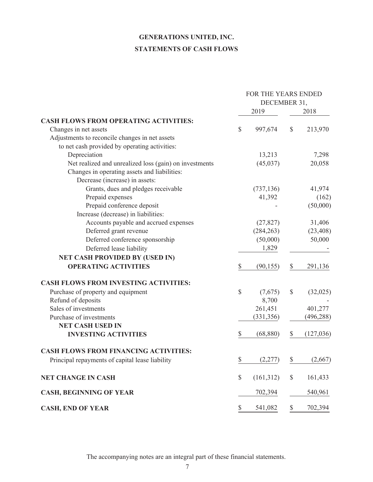### **GENERATIONS UNITED, INC. STATEMENTS OF CASH FLOWS**

|                                                        | FOR THE YEARS ENDED<br>DECEMBER 31, |            |    |            |  |  |
|--------------------------------------------------------|-------------------------------------|------------|----|------------|--|--|
|                                                        |                                     | 2019       |    | 2018       |  |  |
| <b>CASH FLOWS FROM OPERATING ACTIVITIES:</b>           |                                     |            |    |            |  |  |
| Changes in net assets                                  | $\mathcal{S}$                       | 997,674    | \$ | 213,970    |  |  |
| Adjustments to reconcile changes in net assets         |                                     |            |    |            |  |  |
| to net cash provided by operating activities:          |                                     |            |    |            |  |  |
| Depreciation                                           |                                     | 13,213     |    | 7,298      |  |  |
| Net realized and unrealized loss (gain) on investments |                                     | (45,037)   |    | 20,058     |  |  |
| Changes in operating assets and liabilities:           |                                     |            |    |            |  |  |
| Decrease (increase) in assets:                         |                                     |            |    |            |  |  |
| Grants, dues and pledges receivable                    |                                     | (737, 136) |    | 41,974     |  |  |
| Prepaid expenses                                       |                                     | 41,392     |    | (162)      |  |  |
| Prepaid conference deposit                             |                                     |            |    | (50,000)   |  |  |
| Increase (decrease) in liabilities:                    |                                     |            |    |            |  |  |
| Accounts payable and accrued expenses                  |                                     | (27, 827)  |    | 31,406     |  |  |
| Deferred grant revenue                                 |                                     | (284, 263) |    | (23, 408)  |  |  |
| Deferred conference sponsorship                        |                                     | (50,000)   |    | 50,000     |  |  |
| Deferred lease liability                               |                                     | 1,829      |    |            |  |  |
| <b>NET CASH PROVIDED BY (USED IN)</b>                  |                                     |            |    |            |  |  |
| <b>OPERATING ACTIVITIES</b>                            | \$                                  | (90, 155)  | \$ | 291,136    |  |  |
|                                                        |                                     |            |    |            |  |  |
| <b>CASH FLOWS FROM INVESTING ACTIVITIES:</b>           |                                     |            |    |            |  |  |
| Purchase of property and equipment                     | $\$$                                | (7,675)    | \$ | (32,025)   |  |  |
| Refund of deposits                                     |                                     | 8,700      |    |            |  |  |
| Sales of investments                                   |                                     | 261,451    |    | 401,277    |  |  |
| Purchase of investments                                |                                     | (331, 356) |    | (496, 288) |  |  |
| <b>NET CASH USED IN</b>                                |                                     |            |    |            |  |  |
| <b>INVESTING ACTIVITIES</b>                            | \$                                  | (68, 880)  | \$ | (127, 036) |  |  |
| <b>CASH FLOWS FROM FINANCING ACTIVITIES:</b>           |                                     |            |    |            |  |  |
| Principal repayments of capital lease liability        | \$                                  | (2,277)    | \$ | (2,667)    |  |  |
|                                                        |                                     |            |    |            |  |  |
| <b>NET CHANGE IN CASH</b>                              | $\mathbb{S}$                        | (161,312)  | \$ | 161,433    |  |  |
| <b>CASH, BEGINNING OF YEAR</b>                         |                                     | 702,394    |    | 540,961    |  |  |
| <b>CASH, END OF YEAR</b>                               | \$                                  | 541,082    | \$ | 702,394    |  |  |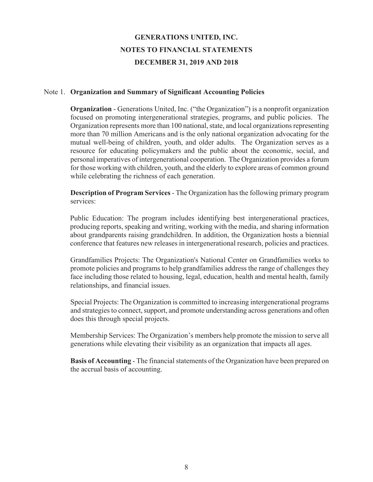### Note 1. **Organization and Summary of Significant Accounting Policies**

**Organization** - Generations United, Inc. ("the Organization") is a nonprofit organization focused on promoting intergenerational strategies, programs, and public policies. The Organization represents more than 100 national, state, and local organizations representing more than 70 million Americans and is the only national organization advocating for the mutual well-being of children, youth, and older adults. The Organization serves as a resource for educating policymakers and the public about the economic, social, and personal imperatives of intergenerational cooperation. The Organization provides a forum for those working with children, youth, and the elderly to explore areas of common ground while celebrating the richness of each generation.

**Description of Program Services** - The Organization has the following primary program services:

Public Education: The program includes identifying best intergenerational practices, producing reports, speaking and writing, working with the media, and sharing information about grandparents raising grandchildren. In addition, the Organization hosts a biennial conference that features new releases in intergenerational research, policies and practices.

Grandfamilies Projects: The Organization's National Center on Grandfamilies works to promote policies and programs to help grandfamilies address the range of challenges they face including those related to housing, legal, education, health and mental health, family relationships, and financial issues.

Special Projects: The Organization is committed to increasing intergenerational programs and strategies to connect, support, and promote understanding across generations and often does this through special projects.

Membership Services: The Organization's members help promote the mission to serve all generations while elevating their visibility as an organization that impacts all ages.

**Basis of Accounting** - The financial statements of the Organization have been prepared on the accrual basis of accounting.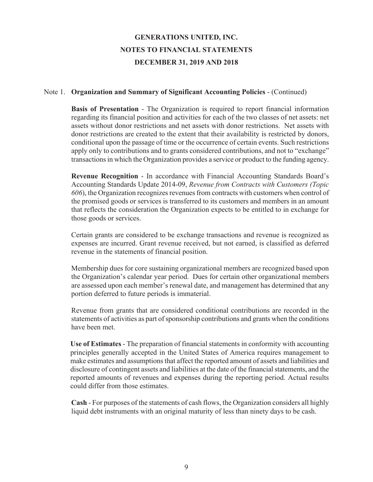#### Note 1. **Organization and Summary of Significant Accounting Policies** - (Continued)

**Basis of Presentation** - The Organization is required to report financial information regarding its financial position and activities for each of the two classes of net assets: net assets without donor restrictions and net assets with donor restrictions. Net assets with donor restrictions are created to the extent that their availability is restricted by donors, conditional upon the passage of time or the occurrence of certain events. Such restrictions apply only to contributions and to grants considered contributions, and not to "exchange" transactions in which the Organization provides a service or product to the funding agency.

**Revenue Recognition** - In accordance with Financial Accounting Standards Board's Accounting Standards Update 2014-09, *Revenue from Contracts with Customers (Topic 606*), the Organization recognizes revenues from contracts with customers when control of the promised goods or services is transferred to its customers and members in an amount that reflects the consideration the Organization expects to be entitled to in exchange for those goods or services.

Certain grants are considered to be exchange transactions and revenue is recognized as expenses are incurred. Grant revenue received, but not earned, is classified as deferred revenue in the statements of financial position.

Membership dues for core sustaining organizational members are recognized based upon the Organization's calendar year period. Dues for certain other organizational members are assessed upon each member's renewal date, and management has determined that any portion deferred to future periods is immaterial.

Revenue from grants that are considered conditional contributions are recorded in the statements of activities as part of sponsorship contributions and grants when the conditions have been met.

**Use of Estimates** - The preparation of financial statements in conformity with accounting principles generally accepted in the United States of America requires management to make estimates and assumptions that affect the reported amount of assets and liabilities and disclosure of contingent assets and liabilities at the date of the financial statements, and the reported amounts of revenues and expenses during the reporting period. Actual results could differ from those estimates.

**Cash** - For purposes of the statements of cash flows, the Organization considers all highly liquid debt instruments with an original maturity of less than ninety days to be cash.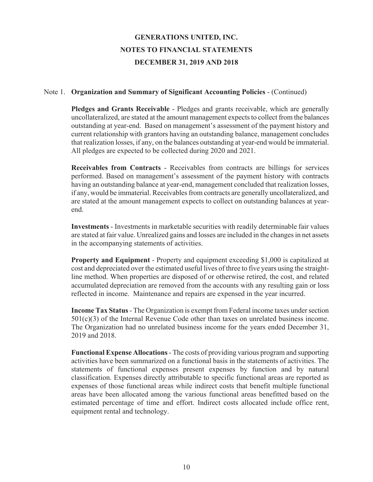#### Note 1. **Organization and Summary of Significant Accounting Policies** - (Continued)

**Pledges and Grants Receivable** - Pledges and grants receivable, which are generally uncollateralized, are stated at the amount management expects to collect from the balances outstanding at year-end. Based on management's assessment of the payment history and current relationship with grantors having an outstanding balance, management concludes that realization losses, if any, on the balances outstanding at year-end would be immaterial. All pledges are expected to be collected during 2020 and 2021.

**Receivables from Contracts** - Receivables from contracts are billings for services performed. Based on management's assessment of the payment history with contracts having an outstanding balance at year-end, management concluded that realization losses, if any, would be immaterial. Receivables from contracts are generally uncollateralized, and are stated at the amount management expects to collect on outstanding balances at yearend.

**Investments** - Investments in marketable securities with readily determinable fair values are stated at fair value. Unrealized gains and losses are included in the changes in net assets in the accompanying statements of activities.

**Property and Equipment** - Property and equipment exceeding \$1,000 is capitalized at cost and depreciated over the estimated useful lives of three to five years using the straightline method. When properties are disposed of or otherwise retired, the cost, and related accumulated depreciation are removed from the accounts with any resulting gain or loss reflected in income. Maintenance and repairs are expensed in the year incurred.

**Income Tax Status** - The Organization is exempt from Federal income taxes under section  $501(c)(3)$  of the Internal Revenue Code other than taxes on unrelated business income. The Organization had no unrelated business income for the years ended December 31, 2019 and 2018.

**Functional Expense Allocations** - The costs of providing various program and supporting activities have been summarized on a functional basis in the statements of activities. The statements of functional expenses present expenses by function and by natural classification. Expenses directly attributable to specific functional areas are reported as expenses of those functional areas while indirect costs that benefit multiple functional areas have been allocated among the various functional areas benefitted based on the estimated percentage of time and effort. Indirect costs allocated include office rent, equipment rental and technology.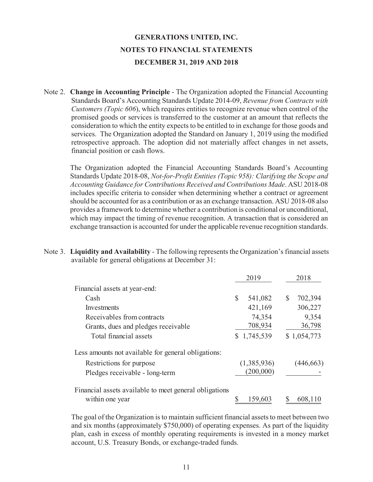Note 2. **Change in Accounting Principle** - The Organization adopted the Financial Accounting Standards Board's Accounting Standards Update 2014-09, *Revenue from Contracts with Customers (Topic 606*), which requires entities to recognize revenue when control of the promised goods or services is transferred to the customer at an amount that reflects the consideration to which the entity expects to be entitled to in exchange for those goods and services. The Organization adopted the Standard on January 1, 2019 using the modified retrospective approach. The adoption did not materially affect changes in net assets, financial position or cash flows.

 The Organization adopted the Financial Accounting Standards Board's Accounting Standards Update 2018-08, *Not-for-Profit Entities (Topic 958): Clarifying the Scope and Accounting Guidance for Contributions Received and Contributions Made*. ASU 2018-08 includes specific criteria to consider when determining whether a contract or agreement should be accounted for as a contribution or as an exchange transaction. ASU 2018-08 also provides a framework to determine whether a contribution is conditional or unconditional, which may impact the timing of revenue recognition. A transaction that is considered an exchange transaction is accounted for under the applicable revenue recognition standards.

Note 3. **Liquidity and Availability** - The following represents the Organization's financial assets available for general obligations at December 31:

|                                                                           | 2019          |              | 2018        |
|---------------------------------------------------------------------------|---------------|--------------|-------------|
| Financial assets at year-end:                                             |               |              |             |
| Cash                                                                      | \$<br>541,082 | $\mathbb{S}$ | 702,394     |
| Investments                                                               | 421,169       |              | 306,227     |
| Receivables from contracts                                                | 74,354        |              | 9,354       |
| Grants, dues and pledges receivable                                       | 708,934       |              | 36,798      |
| Total financial assets                                                    | \$1,745,539   |              | \$1,054,773 |
| Less amounts not available for general obligations:                       |               |              |             |
| Restrictions for purpose                                                  | (1,385,936)   |              | (446, 663)  |
| Pledges receivable - long-term                                            | (200,000)     |              |             |
| Financial assets available to meet general obligations<br>within one year | 159,603       |              | 608,110     |
|                                                                           |               |              |             |

 The goal of the Organization is to maintain sufficient financial assets to meet between two and six months (approximately \$750,000) of operating expenses. As part of the liquidity plan, cash in excess of monthly operating requirements is invested in a money market account, U.S. Treasury Bonds, or exchange-traded funds.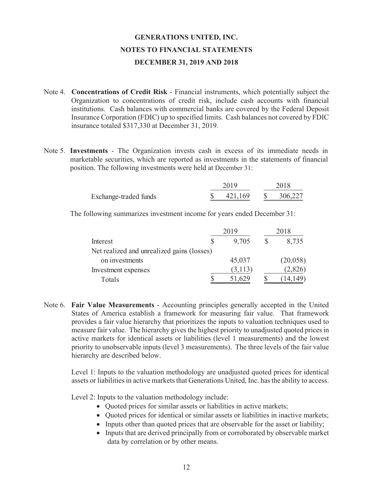- Note 4. **Concentrations of Credit Risk** Financial instruments, which potentially subject the Organization to concentrations of credit risk, include cash accounts with financial institutions. Cash balances with commercial banks are covered by the Federal Deposit Insurance Corporation (FDIC) up to specified limits. Cash balances not covered by FDIC insurance totaled \$317,330 at December 31, 2019.
- Note 5. **Investments** The Organization invests cash in excess of its immediate needs in marketable securities, which are reported as investments in the statements of financial position. The following investments were held at December 31:

|                       | 2019    | 2018           |
|-----------------------|---------|----------------|
| Exchange-traded funds | 421,169 | $\$\,$ 306,227 |

The following summarizes investment income for years ended December 31:

|                                            |   | 2018     |          |
|--------------------------------------------|---|----------|----------|
| Interest                                   | S | 9,705    | 8,735    |
| Net realized and unrealized gains (losses) |   |          |          |
| on investments                             |   | 45,037   | (20,058) |
| Investment expenses                        |   | (3, 113) | (2,826)  |
| Totals                                     |   | 51,629   | 14,149.  |

Note 6. **Fair Value Measurements** - Accounting principles generally accepted in the United States of America establish a framework for measuring fair value. That framework provides a fair value hierarchy that prioritizes the inputs to valuation techniques used to measure fair value. The hierarchy gives the highest priority to unadjusted quoted prices in active markets for identical assets or liabilities (level 1 measurements) and the lowest priority to unobservable inputs (level 3 measurements). The three levels of the fair value hierarchy are described below.

 Level 1: Inputs to the valuation methodology are unadjusted quoted prices for identical assets or liabilities in active markets that Generations United, Inc. has the ability to access.

Level 2: Inputs to the valuation methodology include:

- Quoted prices for similar assets or liabilities in active markets;
- Quoted prices for identical or similar assets or liabilities in inactive markets;
- Inputs other than quoted prices that are observable for the asset or liability;
- Inputs that are derived principally from or corroborated by observable market data by correlation or by other means.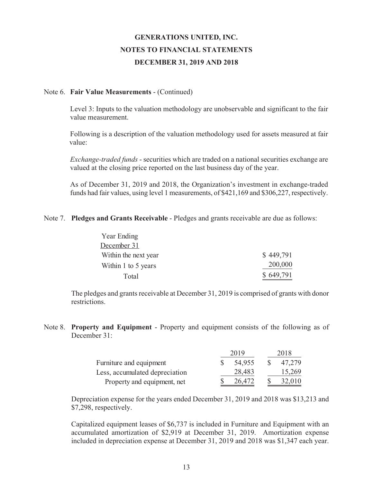#### Note 6. **Fair Value Measurements** - (Continued)

 Level 3: Inputs to the valuation methodology are unobservable and significant to the fair value measurement.

 Following is a description of the valuation methodology used for assets measured at fair value:

 *Exchange-traded funds* - securities which are traded on a national securities exchange are valued at the closing price reported on the last business day of the year.

 As of December 31, 2019 and 2018, the Organization's investment in exchange-traded funds had fair values, using level 1 measurements, of \$421,169 and \$306,227, respectively.

#### Note 7. **Pledges and Grants Receivable** - Pledges and grants receivable are due as follows:

| \$449,791 |
|-----------|
| 200,000   |
| \$649,791 |
|           |

 The pledges and grants receivable at December 31, 2019 is comprised of grants with donor restrictions.

Note 8. **Property and Equipment** - Property and equipment consists of the following as of December 31:

|                                | 2019   | 2018   |  |  |
|--------------------------------|--------|--------|--|--|
| Furniture and equipment        | 54,955 | 47.279 |  |  |
| Less, accumulated depreciation | 28,483 | 15,269 |  |  |
| Property and equipment, net    | 26.472 | 32,010 |  |  |

 Depreciation expense for the years ended December 31, 2019 and 2018 was \$13,213 and \$7,298, respectively.

 Capitalized equipment leases of \$6,737 is included in Furniture and Equipment with an accumulated amortization of \$2,919 at December 31, 2019. Amortization expense included in depreciation expense at December 31, 2019 and 2018 was \$1,347 each year.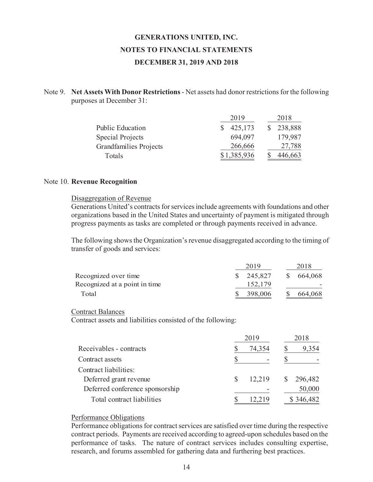Note 9. **Net Assets With Donor Restrictions** - Net assets had donor restrictions for the following purposes at December 31:

|                        | 2019        | 2018    |
|------------------------|-------------|---------|
| Public Education       | 425,173     | 238,888 |
| Special Projects       | 694,097     | 179,987 |
| Grandfamilies Projects | 266,666     | 27,788  |
| <b>Totals</b>          | \$1,385,936 | 446,663 |

#### Note 10. **Revenue Recognition**

#### Disaggregation of Revenue

 Generations United's contracts for services include agreements with foundations and other organizations based in the United States and uncertainty of payment is mitigated through progress payments as tasks are completed or through payments received in advance.

 The following shows the Organization's revenue disaggregated according to the timing of transfer of goods and services:

|                               | 2019 |                      |    | 2018    |  |
|-------------------------------|------|----------------------|----|---------|--|
| Recognized over time          |      | $\frac{\$}{245,827}$ | S. | 664,068 |  |
| Recognized at a point in time |      | 152,179              |    |         |  |
| Total                         |      | 398,006              |    | 664,068 |  |

#### Contract Balances

Contract assets and liabilities consisted of the following:

|                                 | 2019 |                          | 2018 |           |
|---------------------------------|------|--------------------------|------|-----------|
| Receivables - contracts         |      | 74,354                   |      | 9,354     |
| Contract assets                 |      | $\overline{\phantom{0}}$ |      |           |
| Contract liabilities:           |      |                          |      |           |
| Deferred grant revenue          |      | 12,219                   |      | 296,482   |
| Deferred conference sponsorship |      |                          |      | 50,000    |
| Total contract liabilities      |      | 12.219                   |      | \$346,482 |

#### Performance Obligations

Performance obligations for contract services are satisfied over time during the respective contract periods. Payments are received according to agreed-upon schedules based on the performance of tasks. The nature of contract services includes consulting expertise, research, and forums assembled for gathering data and furthering best practices.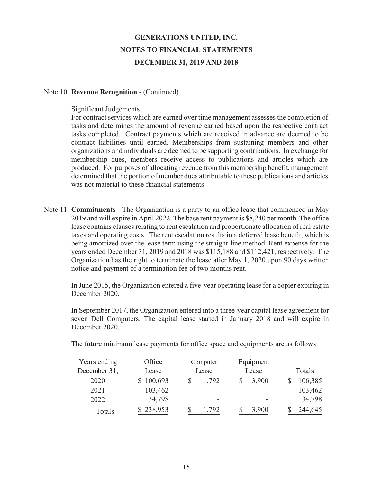#### Note 10. **Revenue Recognition** - (Continued)

#### Significant Judgements

For contract services which are earned over time management assesses the completion of tasks and determines the amount of revenue earned based upon the respective contract tasks completed. Contract payments which are received in advance are deemed to be contract liabilities until earned. Memberships from sustaining members and other organizations and individuals are deemed to be supporting contributions. In exchange for membership dues, members receive access to publications and articles which are produced. For purposes of allocating revenue from this membership benefit, management determined that the portion of member dues attributable to these publications and articles was not material to these financial statements.

Note 11. **Commitments** - The Organization is a party to an office lease that commenced in May 2019 and will expire in April 2022. The base rent payment is \$8,240 per month. The office lease contains clauses relating to rent escalation and proportionate allocation of real estate taxes and operating costs. The rent escalation results in a deferred lease benefit, which is being amortized over the lease term using the straight-line method. Rent expense for the years ended December 31, 2019 and 2018 was \$115,188 and \$112,421, respectively. The Organization has the right to terminate the lease after May 1, 2020 upon 90 days written notice and payment of a termination fee of two months rent.

 In June 2015, the Organization entered a five-year operating lease for a copier expiring in December 2020.

 In September 2017, the Organization entered into a three-year capital lease agreement for seven Dell Computers. The capital lease started in January 2018 and will expire in December 2020.

The future minimum lease payments for office space and equipments are as follows:

| Years ending | Office    | Computer |       | Equipment |  |         |  |
|--------------|-----------|----------|-------|-----------|--|---------|--|
| December 31, | Lease     | Lease    |       | Lease     |  | Totals  |  |
| 2020         | \$100,693 | \$       | 1,792 | 3,900     |  | 106,385 |  |
| 2021         | 103,462   |          |       |           |  | 103,462 |  |
| 2022         | 34,798    |          | -     | -         |  | 34,798  |  |
| Totals       | 238,953   |          | 1,792 | 3,900     |  | 244,645 |  |